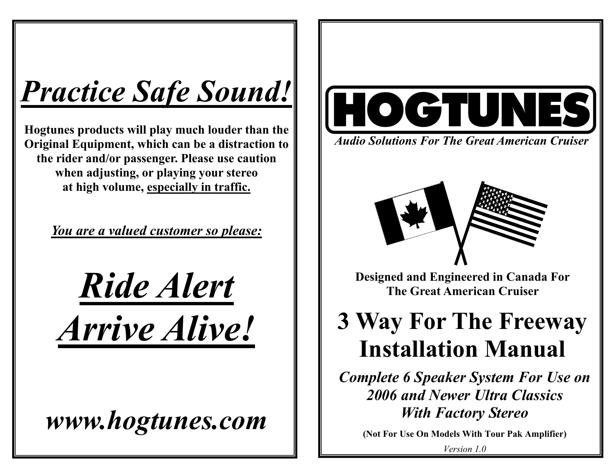# *Practice Safe Sound!*

**Hogtunes products will play much louder than the Original Equipment, which can be a distraction to the rider and/or passenger. Please use caution when adjusting, or playing your stereo at high volume, especially in traffic.** 

*You are a valued customer so please:*

*Ride Alert Arrive Alive!*

*www.hogtunes.com* 



*Audio Solutions For The Great American Cruiser* 



**Designed and Engineered in Canada For The Great American Cruiser** 

## **3 Way For The Freeway Installation Manual**

*Complete 6 Speaker System For Use on 2006 and Newer Ultra Classics With Factory Stereo* 

**(Not For Use On Models With Tour Pak Amplifier)**

*Version 1.0*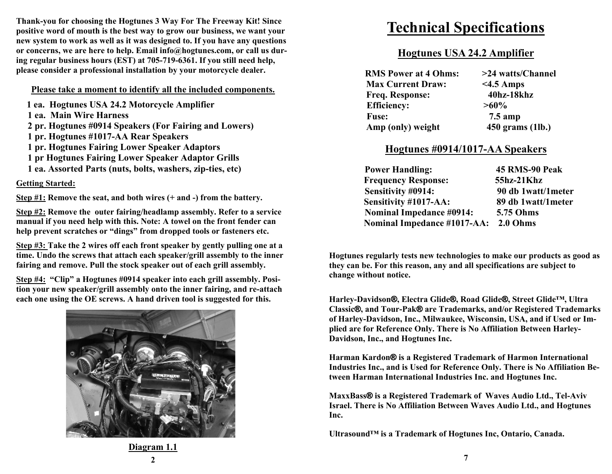**Thank-you for choosing the Hogtunes 3 Way For The Freeway Kit! Since positive word of mouth is the best way to grow our business, we want your new system to work as well as it was designed to. If you have any questions or concerns, we are here to help. Email info@hogtunes.com, or call us during regular business hours (EST) at 705-719-6361. If you still need help, please consider a professional installation by your motorcycle dealer.** 

#### **Please take a moment to identify all the included components.**

**1 ea. Hogtunes USA 24.2 Motorcycle Amplifier** 

- **1 ea. Main Wire Harness**
- **2 pr. Hogtunes #0914 Speakers (For Fairing and Lowers)**
- **1 pr. Hogtunes #1017-AA Rear Speakers**
- **1 pr. Hogtunes Fairing Lower Speaker Adaptors**
- **1 pr Hogtunes Fairing Lower Speaker Adaptor Grills**
- **1 ea. Assorted Parts (nuts, bolts, washers, zip-ties, etc)**

#### **Getting Started:**

**Step #1: Remove the seat, and both wires (+ and -) from the battery.** 

**Step #2: Remove the outer fairing/headlamp assembly. Refer to a service manual if you need help with this. Note: A towel on the front fender can help prevent scratches or "dings" from dropped tools or fasteners etc.** 

**Step #3: Take the 2 wires off each front speaker by gently pulling one at a time. Undo the screws that attach each speaker/grill assembly to the inner fairing and remove. Pull the stock speaker out of each grill assembly.** 

**Step #4: "Clip" a Hogtunes #0914 speaker into each grill assembly. Position your new speaker/grill assembly onto the inner fairing, and re-attach each one using the OE screws. A hand driven tool is suggested for this.** 



### **Technical Specifications**

#### **Hogtunes USA 24.2 Amplifier**

| <b>RMS Power at 4 Ohms:</b> | >24 watts/Channel |
|-----------------------------|-------------------|
| <b>Max Current Draw:</b>    | $<$ 4.5 Amps      |
| <b>Freq. Response:</b>      | 40hz-18khz        |
| <b>Efficiency:</b>          | $>60\%$           |
| <b>Fuse:</b>                | $7.5 \text{ amp}$ |
| Amp (only) weight           | 450 grams (1lb.)  |

#### **Hogtunes #0914/1017-AA Speakers**

| <b>Power Handling:</b>               | 45 RMS-90 Peak     |
|--------------------------------------|--------------------|
| <b>Frequency Response:</b>           | 55hz-21Khz         |
| Sensitivity #0914:                   | 90 db 1watt/1meter |
| Sensitivity #1017-AA:                | 89 db 1watt/1meter |
| <b>Nominal Impedance #0914:</b>      | 5.75 Ohms          |
| Nominal Impedance #1017-AA: 2.0 Ohms |                    |

**Hogtunes regularly tests new technologies to make our products as good as they can be. For this reason, any and all specifications are subject to change without notice.** 

**Harley-Davidson ®, Electra Glide ®, Road Glide ®, Street Glide™, Ultra Classic®, and Tour-Pak® are Trademarks, and/or Registered Trademarks of Harley-Davidson, Inc., Milwaukee, Wisconsin, USA, and if Used or Implied are for Reference Only. There is No Affiliation Between Harley-Davidson, Inc., and Hogtunes Inc.** 

**Harman Kardon® is a Registered Trademark of Harmon International Industries Inc., and is Used for Reference Only. There is No Affiliation Between Harman International Industries Inc. and Hogtunes Inc.** 

**MaxxBass® is a Registered Trademark of Waves Audio Ltd., Tel-Aviv Israel. There is No Affiliation Between Waves Audio Ltd., and Hogtunes Inc.** 

**Ultrasound™ is a Trademark of Hogtunes Inc, Ontario, Canada.** 

**Diagram 1.1 2**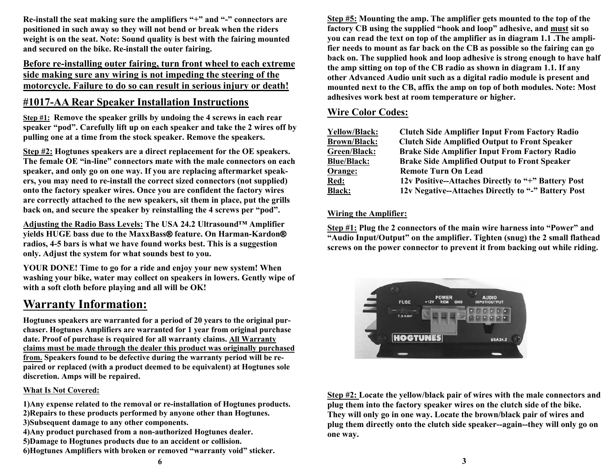**Re-install the seat making sure the amplifiers "+" and "-" connectors are positioned in such away so they will not bend or break when the riders weight is on the seat. Note: Sound quality is best with the fairing mounted and secured on the bike. Re-install the outer fairing.** 

#### **Before re-installing outer fairing, turn front wheel to each extreme side making sure any wiring is not impeding the steering of the motorcycle. Failure to do so can result in serious injury or death!**

#### **#1017-AA Rear Speaker Installation Instructions**

**Step #1: Remove the speaker grills by undoing the 4 screws in each rear speaker "pod". Carefully lift up on each speaker and take the 2 wires off by pulling one at a time from the stock speaker. Remove the speakers.** 

**Step #2: Hogtunes speakers are a direct replacement for the OE speakers. The female OE "in-line" connectors mate with the male connectors on each speaker, and only go on one way. If you are replacing aftermarket speakers, you may need to re-install the correct sized connectors (not supplied) onto the factory speaker wires. Once you are confident the factory wires are correctly attached to the new speakers, sit them in place, put the grills back on, and secure the speaker by reinstalling the 4 screws per "pod".** 

**Adjusting the Radio Bass Levels: The USA 24.2 Ultrasound™ Amplifier yields HUGE bass due to the MaxxBass ® feature. On Harman-Kardon ® radios, 4-5 bars is what we have found works best. This is a suggestion only. Adjust the system for what sounds best to you.** 

**YOUR DONE! Time to go for a ride and enjoy your new system! When washing your bike, water may collect on speakers in lowers. Gently wipe of with a soft cloth before playing and all will be OK!** 

#### **Warranty Information:**

**Hogtunes speakers are warranted for a period of 20 years to the original purchaser. Hogtunes Amplifiers are warranted for 1 year from original purchase date. Proof of purchase is required for all warranty claims. All Warranty claims must be made through the dealer this product was originally purchased from. Speakers found to be defective during the warranty period will be repaired or replaced (with a product deemed to be equivalent) at Hogtunes sole discretion. Amps will be repaired.** 

#### **What Is Not Covered:**

**1)Any expense related to the removal or re-installation of Hogtunes products. 2)Repairs to these products performed by anyone other than Hogtunes. 3)Subsequent damage to any other components. 4)Any product purchased from a non-authorized Hogtunes dealer. 5)Damage to Hogtunes products due to an accident or collision. 6)Hogtunes Amplifiers with broken or removed "warranty void" sticker.**

**Step #5: Mounting the amp. The amplifier gets mounted to the top of the factory CB using the supplied "hook and loop" adhesive, and must sit so you can read the text on top of the amplifier as in diagram 1.1 .The amplifier needs to mount as far back on the CB as possible so the fairing can go back on. The supplied hook and loop adhesive is strong enough to have half the amp sitting on top of the CB radio as shown in diagram 1.1. If any other Advanced Audio unit such as a digital radio module is present and mounted next to the CB, affix the amp on top of both modules. Note: Most adhesives work best at room temperature or higher.** 

#### **Wire Color Codes:**

| <b>Clutch Side Amplifier Input From Factory Radio</b> |
|-------------------------------------------------------|
| <b>Clutch Side Amplified Output to Front Speaker</b>  |
| <b>Brake Side Amplifier Input From Factory Radio</b>  |
| <b>Brake Side Amplified Output to Front Speaker</b>   |
| <b>Remote Turn On Lead</b>                            |
| 12v Positive--Attaches Directly to "+" Battery Post   |
| 12v Negative--Attaches Directly to "-" Battery Post   |
|                                                       |

#### **Wiring the Amplifier:**

**Step #1: Plug the 2 connectors of the main wire harness into "Power" and "Audio Input/Output" on the amplifier. Tighten (snug) the 2 small flathead screws on the power connector to prevent it from backing out while riding.** 



**Step #2: Locate the yellow/black pair of wires with the male connectors and plug them into the factory speaker wires on the clutch side of the bike. They will only go in one way. Locate the brown/black pair of wires and plug them directly onto the clutch side speaker--again--they will only go on one way.**